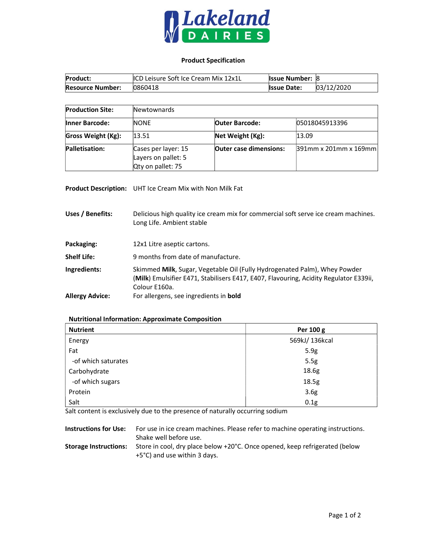

## Product Specification

| <b>Product:</b>         | <b>ICD Leisure Soft Ice Cream Mix 12x1L</b> | <b>Issue Number: 8</b> |            |
|-------------------------|---------------------------------------------|------------------------|------------|
| <b>Resource Number:</b> | 0860418                                     | <b>Issue Date:</b>     | 03/12/2020 |

| <b>Production Site:</b>   | Newtownards                                                     |                               |                          |
|---------------------------|-----------------------------------------------------------------|-------------------------------|--------------------------|
| <b>Inner Barcode:</b>     | <b>NONE</b>                                                     | <b>Outer Barcode:</b>         | 05018045913396           |
| <b>Gross Weight (Kg):</b> | 13.51                                                           | Net Weight (Kg):              | 13.09                    |
| Palletisation:            | Cases per layer: 15<br>Layers on pallet: 5<br>Qty on pallet: 75 | <b>Outer case dimensions:</b> | $391$ mm x 201mm x 169mm |

Product Description: UHT Ice Cream Mix with Non Milk Fat

Uses / Benefits: Delicious high quality ice cream mix for commercial soft serve ice cream machines. Long Life. Ambient stable

| Packaging: | 12x1 Litre aseptic cartons. |
|------------|-----------------------------|
|            |                             |

- Shelf Life: 9 months from date of manufacture.
- Ingredients: Skimmed Milk, Sugar, Vegetable Oil (Fully Hydrogenated Palm), Whey Powder (Milk) Emulsifier E471, Stabilisers E417, E407, Flavouring, Acidity Regulator E339ii, Colour E160a. Allergy Advice: For allergens, see ingredients in bold

## Nutritional Information: Approximate Composition

| <b>Nutrient</b>     | Per 100 g        |
|---------------------|------------------|
| Energy              | 569kJ/136kcal    |
| Fat                 | 5.9g             |
| -of which saturates | 5.5g             |
| Carbohydrate        | 18.6g            |
| -of which sugars    | 18.5g            |
| Protein             | 3.6 <sub>g</sub> |
| Salt                | 0.1g             |

Salt content is exclusively due to the presence of naturally occurring sodium

| <b>Instructions for Use:</b> | For use in ice cream machines. Please refer to machine operating instructions.<br>Shake well before use.    |
|------------------------------|-------------------------------------------------------------------------------------------------------------|
| <b>Storage Instructions:</b> | Store in cool, dry place below +20°C. Once opened, keep refrigerated (below<br>+5°C) and use within 3 days. |